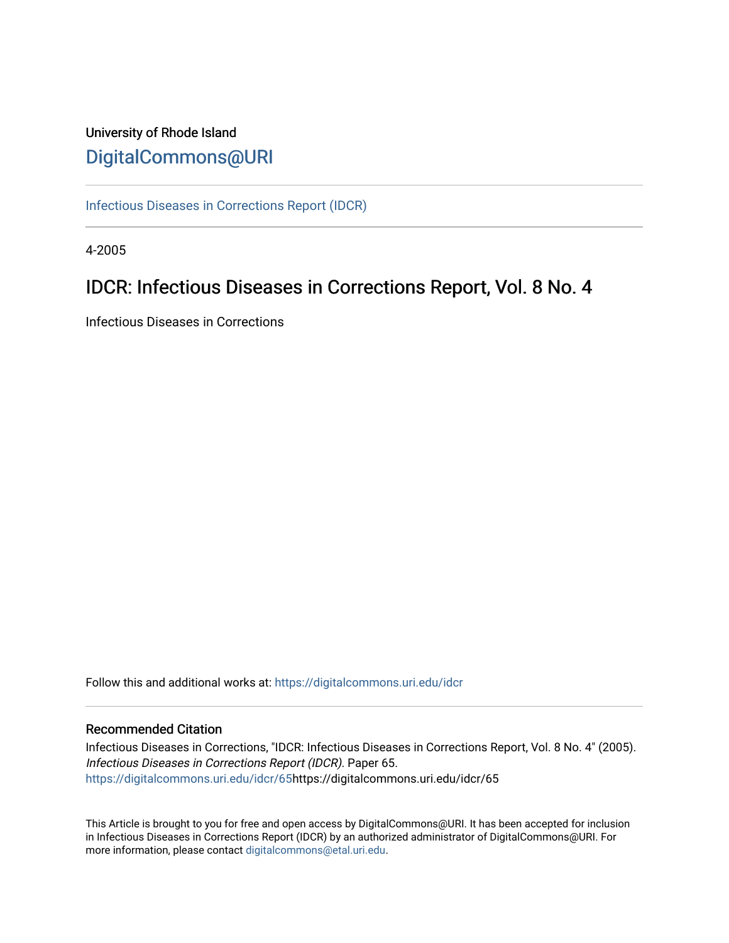# University of Rhode Island [DigitalCommons@URI](https://digitalcommons.uri.edu/)

[Infectious Diseases in Corrections Report \(IDCR\)](https://digitalcommons.uri.edu/idcr)

4-2005

# IDCR: Infectious Diseases in Corrections Report, Vol. 8 No. 4

Infectious Diseases in Corrections

Follow this and additional works at: [https://digitalcommons.uri.edu/idcr](https://digitalcommons.uri.edu/idcr?utm_source=digitalcommons.uri.edu%2Fidcr%2F65&utm_medium=PDF&utm_campaign=PDFCoverPages)

## Recommended Citation

Infectious Diseases in Corrections, "IDCR: Infectious Diseases in Corrections Report, Vol. 8 No. 4" (2005). Infectious Diseases in Corrections Report (IDCR). Paper 65. [https://digitalcommons.uri.edu/idcr/65h](https://digitalcommons.uri.edu/idcr/65?utm_source=digitalcommons.uri.edu%2Fidcr%2F65&utm_medium=PDF&utm_campaign=PDFCoverPages)ttps://digitalcommons.uri.edu/idcr/65

This Article is brought to you for free and open access by DigitalCommons@URI. It has been accepted for inclusion in Infectious Diseases in Corrections Report (IDCR) by an authorized administrator of DigitalCommons@URI. For more information, please contact [digitalcommons@etal.uri.edu.](mailto:digitalcommons@etal.uri.edu)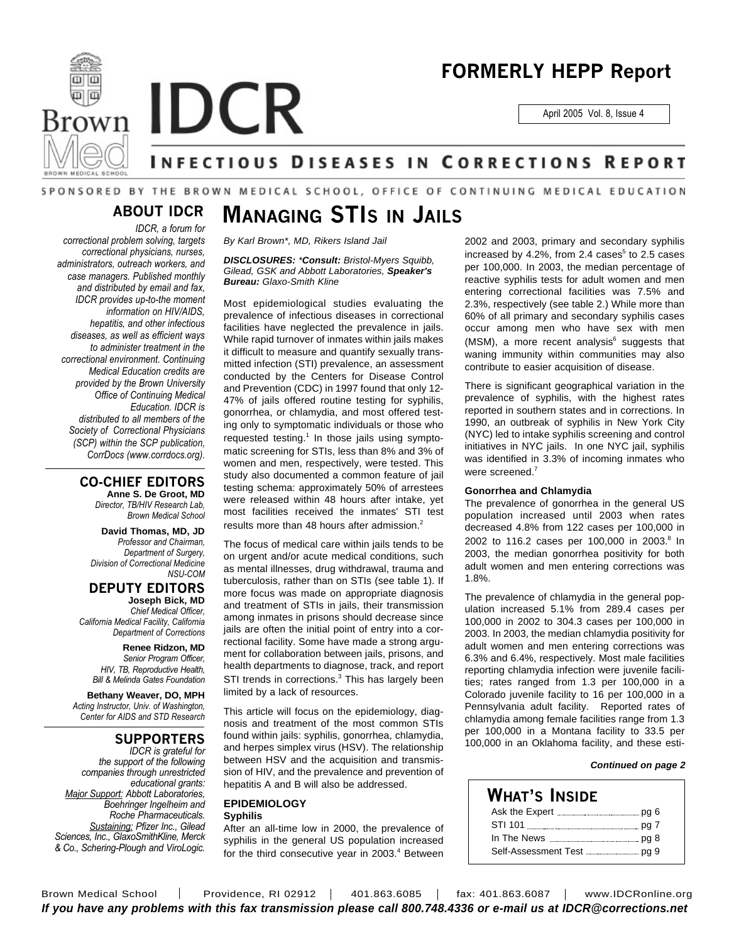

# **FORMERLY HEPP Report**

April 2005 Vol. 8, Issue 4

# NFECTIOUS DISEASES IN CORRECTIONS REPORT

# SPONSORED BY THE BROWN MEDICAL SCHOOL, OFFICE OF CONTINUING MEDICAL EDUCATION

# **ABOUT IDCR**

*IDCR, a forum for correctional problem solving, targets correctional physicians, nurses, administrators, outreach workers, and case managers. Published monthly and distributed by email and fax, IDCR provides up-to-the moment information on HIV/AIDS, hepatitis, and other infectious diseases, as well as efficient ways to administer treatment in the correctional environment. Continuing Medical Education credits are provided by the Brown University Office of Continuing Medical Education. IDCR is distributed to all members of the Society of Correctional Physicians (SCP) within the SCP publication, CorrDocs (www.corrdocs.org).*

## **CO-CHIEF EDITORS**

**Anne S. De Groot, MD** *Director, TB/HIV Research Lab, Brown Medical School*

**David Thomas, MD, JD** *Professor and Chairman, Department of Surgery, Division of Correctional Medicine NSU-COM*

**DEPUTY EDITORS Joseph Bick, MD**

*Chief Medical Officer, California Medical Facility, California Department of Corrections*

> **Renee Ridzon, MD** *Senior Program Officer, HIV, TB, Reproductive Health, Bill & Melinda Gates Foundation*

**Bethany Weaver, DO, MPH** *Acting Instructor, Univ. of Washington, Center for AIDS and STD Research*

## **SUPPORTERS**

*IDCR is grateful for the support of the following companies through unrestricted educational grants: Major Support: Abbott Laboratories, Boehringer Ingelheim and Roche Pharmaceuticals. Sustaining: Pfizer Inc., Gilead Sciences, Inc., GlaxoSmithKline, Merck & Co., Schering-Plough and ViroLogic.*

# **MANAGING STIS IN JAILS**

*By Karl Brown\*, MD, Rikers Island Jail*

*DISCLOSURES: \*Consult: Bristol-Myers Squibb, Gilead, GSK and Abbott Laboratories, Speaker's Bureau: Glaxo-Smith Kline*

Most epidemiological studies evaluating the prevalence of infectious diseases in correctional facilities have neglected the prevalence in jails. While rapid turnover of inmates within jails makes it difficult to measure and quantify sexually transmitted infection (STI) prevalence, an assessment conducted by the Centers for Disease Control and Prevention (CDC) in 1997 found that only 12- 47% of jails offered routine testing for syphilis, gonorrhea, or chlamydia, and most offered testing only to symptomatic individuals or those who requested testing.<sup>1</sup> In those jails using symptomatic screening for STIs, less than 8% and 3% of women and men, respectively, were tested. This study also documented a common feature of jail testing schema: approximately 50% of arrestees were released within 48 hours after intake, yet most facilities received the inmates' STI test results more than 48 hours after admission.<sup>2</sup>

The focus of medical care within jails tends to be on urgent and/or acute medical conditions, such as mental illnesses, drug withdrawal, trauma and tuberculosis, rather than on STIs (see table 1). If more focus was made on appropriate diagnosis and treatment of STIs in jails, their transmission among inmates in prisons should decrease since jails are often the initial point of entry into a correctional facility. Some have made a strong argument for collaboration between jails, prisons, and health departments to diagnose, track, and report STI trends in corrections.<sup>3</sup> This has largely been limited by a lack of resources.

This article will focus on the epidemiology, diagnosis and treatment of the most common STIs found within jails: syphilis, gonorrhea, chlamydia, and herpes simplex virus (HSV). The relationship between HSV and the acquisition and transmission of HIV, and the prevalence and prevention of hepatitis A and B will also be addressed.

## **EPIDEMIOLOGY Syphilis**

After an all-time low in 2000, the prevalence of syphilis in the general US population increased for the third consecutive year in 2003. <sup>4</sup> Between

2002 and 2003, primary and secondary syphilis increased by 4.2%, from 2.4  $\text{cases}^5$  to 2.5  $\text{cases}$ per 100,000. In 2003, the median percentage of reactive syphilis tests for adult women and men entering correctional facilities was 7.5% and 2.3%, respectively (see table 2.) While more than 60% of all primary and secondary syphilis cases occur among men who have sex with men (MSM), a more recent analysis<sup>6</sup> suggests that waning immunity within communities may also contribute to easier acquisition of disease.

There is significant geographical variation in the prevalence of syphilis, with the highest rates reported in southern states and in corrections. In 1990, an outbreak of syphilis in New York City (NYC) led to intake syphilis screening and control initiatives in NYC jails. In one NYC jail, syphilis was identified in 3.3% of incoming inmates who were screened.<sup>7</sup>

## **Gonorrhea and Chlamydia**

The prevalence of gonorrhea in the general US population increased until 2003 when rates decreased 4.8% from 122 cases per 100,000 in 2002 to 116.2 cases per 100,000 in 2003.<sup>8</sup> In 2003, the median gonorrhea positivity for both adult women and men entering corrections was 1.8%.

The prevalence of chlamydia in the general population increased 5.1% from 289.4 cases per 100,000 in 2002 to 304.3 cases per 100,000 in 2003. In 2003, the median chlamydia positivity for adult women and men entering corrections was 6.3% and 6.4%, respectively. Most male facilities reporting chlamydia infection were juvenile facilities; rates ranged from 1.3 per 100,000 in a Colorado juvenile facility to 16 per 100,000 in a Pennsylvania adult facility. Reported rates of chlamydia among female facilities range from 1.3 per 100,000 in a Montana facility to 33.5 per 100,000 in an Oklahoma facility, and these esti-

## *Continued on page 2*

## **WHAT'S INSIDE** Ask the Expert pg 6 STI 101 **mass 2016** pg 7 In The News pg 8 Self-Assessment Test pg 9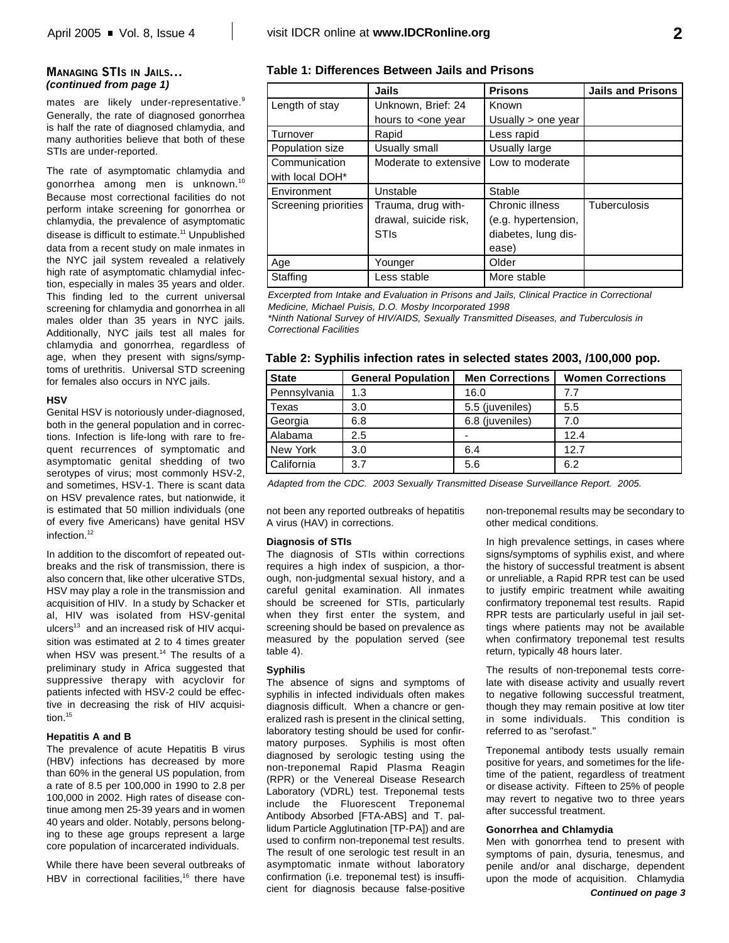## **MANAGING STIS IN JAILS...** *(continued from page 1)*

mates are likely under-representative.<sup>9</sup> Generally, the rate of diagnosed gonorrhea is half the rate of diagnosed chlamydia, and many authorities believe that both of these STIs are under-reported.

The rate of asymptomatic chlamydia and gonorrhea among men is unknown. 10 Because most correctional facilities do not perform intake screening for gonorrhea or chlamydia, the prevalence of asymptomatic disease is difficult to estimate. <sup>11</sup> Unpublished data from a recent study on male inmates in the NYC jail system revealed a relatively high rate of asymptomatic chlamydial infection, especially in males 35 years and older. This finding led to the current universal screening for chlamydia and gonorrhea in all males older than 35 years in NYC jails. Additionally, NYC jails test all males for chlamydia and gonorrhea, regardless of age, when they present with signs/symptoms of urethritis. Universal STD screening for females also occurs in NYC jails.

#### **HSV**

Genital HSV is notoriously under-diagnosed, both in the general population and in corrections. Infection is life-long with rare to frequent recurrences of symptomatic and asymptomatic genital shedding of two serotypes of virus; most commonly HSV-2, and sometimes, HSV-1. There is scant data on HSV prevalence rates, but nationwide, it is estimated that 50 million individuals (one of every five Americans) have genital HSV infection. 12

In addition to the discomfort of repeated outbreaks and the risk of transmission, there is also concern that, like other ulcerative STDs, HSV may play a role in the transmission and acquisition of HIV. In a study by Schacker et al, HIV was isolated from HSV-genital ulcers 13 and an increased risk of HIV acquisition was estimated at 2 to 4 times greater when HSV was present. <sup>14</sup> The results of a preliminary study in Africa suggested that suppressive therapy with acyclovir for patients infected with HSV-2 could be effective in decreasing the risk of HIV acquisition. 15

## **Hepatitis A and B**

The prevalence of acute Hepatitis B virus (HBV) infections has decreased by more than 60% in the general US population, from a rate of 8.5 per 100,000 in 1990 to 2.8 per 100,000 in 2002. High rates of disease continue among men 25-39 years and in women 40 years and older. Notably, persons belonging to these age groups represent a large core population of incarcerated individuals.

While there have been several outbreaks of HBV in correctional facilities,<sup>16</sup> there have

## **Table 1: Differences Between Jails and Prisons**

|                      | Jails                                                                      | <b>Prisons</b>      | <b>Jails and Prisons</b> |
|----------------------|----------------------------------------------------------------------------|---------------------|--------------------------|
| Length of stay       | Unknown, Brief: 24                                                         | Known               |                          |
|                      | hours to <one td="" year<=""><td>Usually &gt; one year</td><td></td></one> | Usually > one year  |                          |
| Turnover             | Rapid                                                                      | Less rapid          |                          |
| Population size      | Usually small                                                              | Usually large       |                          |
| Communication        | Moderate to extensive                                                      | Low to moderate     |                          |
| with local DOH*      |                                                                            |                     |                          |
| Environment          | Unstable                                                                   | Stable              |                          |
| Screening priorities | Trauma, drug with-                                                         | Chronic illness     | <b>Tuberculosis</b>      |
|                      | drawal, suicide risk,                                                      | (e.g. hypertension, |                          |
|                      | <b>STIs</b>                                                                | diabetes, lung dis- |                          |
|                      |                                                                            | ease)               |                          |
| Age                  | Younger                                                                    | Older               |                          |
| Staffing             | Less stable                                                                | More stable         |                          |

*Excerpted from Intake and Evaluation in Prisons and Jails, Clinical Practice in Correctional Medicine, Michael Puisis, D.O. Mosby Incorporated 1998*

*\*Ninth National Survey of HIV/AIDS, Sexually Transmitted Diseases, and Tuberculosis in Correctional Facilities*

|  | Table 2: Syphilis infection rates in selected states 2003, /100,000 pop. |  |  |  |  |
|--|--------------------------------------------------------------------------|--|--|--|--|
|  |                                                                          |  |  |  |  |

| <b>State</b> | <b>General Population</b> | <b>Men Corrections</b> | <b>Women Corrections</b> |
|--------------|---------------------------|------------------------|--------------------------|
| Pennsylvania | 1.3                       | 16.0                   | 77                       |
| Texas        | 3.0                       | 5.5 (juveniles)        | 5.5                      |
| Georgia      | 6.8                       | 6.8 (juveniles)        | 7.0                      |
| Alabama      | 2.5                       |                        | 12.4                     |
| New York     | 3.0                       | 6.4                    | 12.7                     |
| California   | 3.7                       | 5.6                    | 6.2                      |

*Adapted from the CDC. 2003 Sexually Transmitted Disease Surveillance Report. 2005.*

not been any reported outbreaks of hepatitis A virus (HAV) in corrections.

## **Diagnosis of STIs**

The diagnosis of STIs within corrections requires a high index of suspicion, a thorough, non-judgmental sexual history, and a careful genital examination. All inmates should be screened for STIs, particularly when they first enter the system, and screening should be based on prevalence as measured by the population served (see table 4).

#### **Syphilis**

The absence of signs and symptoms of syphilis in infected individuals often makes diagnosis difficult. When a chancre or generalized rash is present in the clinical setting, laboratory testing should be used for confirmatory purposes. Syphilis is most often diagnosed by serologic testing using the non-treponemal Rapid Plasma Reagin (RPR) or the Venereal Disease Research Laboratory (VDRL) test. Treponemal tests include the Fluorescent Treponemal Antibody Absorbed [FTA-ABS] and T. pallidum Particle Agglutination [TP-PA]) and are used to confirm non-treponemal test results. The result of one serologic test result in an asymptomatic inmate without laboratory confirmation (i.e. treponemal test) is insufficient for diagnosis because false-positive

non-treponemal results may be secondary to other medical conditions.

In high prevalence settings, in cases where signs/symptoms of syphilis exist, and where the history of successful treatment is absent or unreliable, a Rapid RPR test can be used to justify empiric treatment while awaiting confirmatory treponemal test results. Rapid RPR tests are particularly useful in jail settings where patients may not be available when confirmatory treponemal test results return, typically 48 hours later.

The results of non-treponemal tests correlate with disease activity and usually revert to negative following successful treatment, though they may remain positive at low titer in some individuals. This condition is referred to as "serofast."

Treponemal antibody tests usually remain positive for years, and sometimes for the lifetime of the patient, regardless of treatment or disease activity. Fifteen to 25% of people may revert to negative two to three years after successful treatment.

#### **Gonorrhea and Chlamydia**

Men with gonorrhea tend to present with symptoms of pain, dysuria, tenesmus, and penile and/or anal discharge, dependent upon the mode of acquisition. Chlamydia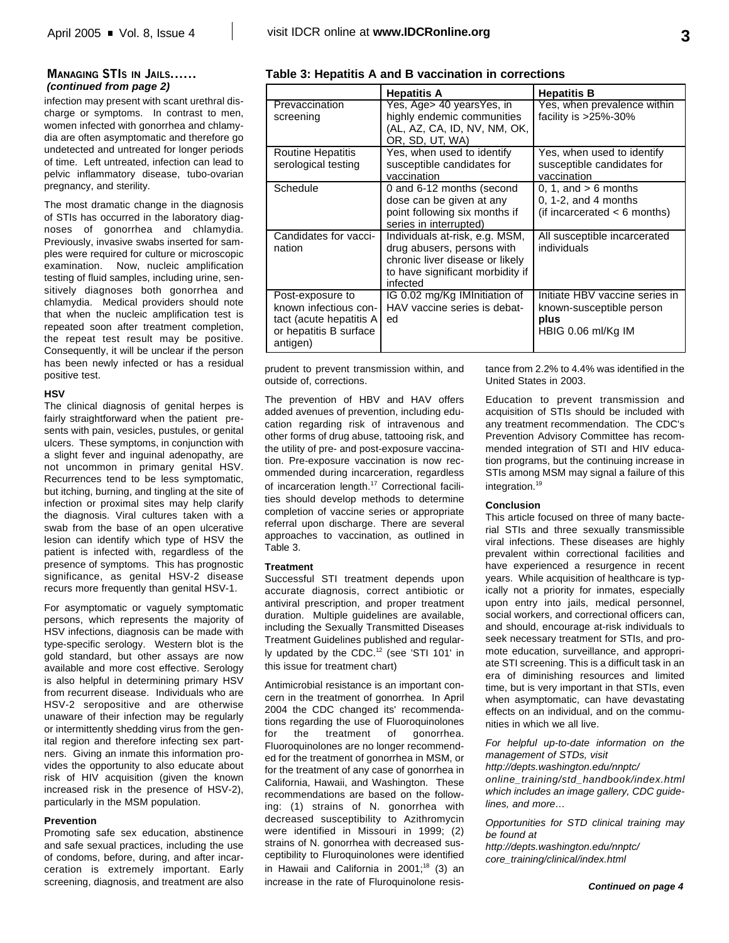## **MANAGING STIS IN JAILS......** *(continued from page 2)*

infection may present with scant urethral discharge or symptoms. In contrast to men, women infected with gonorrhea and chlamydia are often asymptomatic and therefore go undetected and untreated for longer periods of time. Left untreated, infection can lead to pelvic inflammatory disease, tubo-ovarian pregnancy, and sterility.

The most dramatic change in the diagnosis of STIs has occurred in the laboratory diagnoses of gonorrhea and chlamydia. Previously, invasive swabs inserted for samples were required for culture or microscopic examination. Now, nucleic amplification testing of fluid samples, including urine, sensitively diagnoses both gonorrhea and chlamydia. Medical providers should note that when the nucleic amplification test is repeated soon after treatment completion, the repeat test result may be positive. Consequently, it will be unclear if the person has been newly infected or has a residual positive test.

## **HSV**

The clinical diagnosis of genital herpes is fairly straightforward when the patient presents with pain, vesicles, pustules, or genital ulcers. These symptoms, in conjunction with a slight fever and inguinal adenopathy, are not uncommon in primary genital HSV. Recurrences tend to be less symptomatic, but itching, burning, and tingling at the site of infection or proximal sites may help clarify the diagnosis. Viral cultures taken with a swab from the base of an open ulcerative lesion can identify which type of HSV the patient is infected with, regardless of the presence of symptoms. This has prognostic significance, as genital HSV-2 disease recurs more frequently than genital HSV-1.

For asymptomatic or vaguely symptomatic persons, which represents the majority of HSV infections, diagnosis can be made with type-specific serology. Western blot is the gold standard, but other assays are now available and more cost effective. Serology is also helpful in determining primary HSV from recurrent disease. Individuals who are HSV-2 seropositive and are otherwise unaware of their infection may be regularly or intermittently shedding virus from the genital region and therefore infecting sex partners. Giving an inmate this information provides the opportunity to also educate about risk of HIV acquisition (given the known increased risk in the presence of HSV-2), particularly in the MSM population.

## **Prevention**

Promoting safe sex education, abstinence and safe sexual practices, including the use of condoms, before, during, and after incarceration is extremely important. Early screening, diagnosis, and treatment are also

| Table 3: Hepatitis A and B vaccination in corrections |  |
|-------------------------------------------------------|--|
|-------------------------------------------------------|--|

|                                                                                                            | <b>Hepatitis A</b>                                                                                                                              | <b>Hepatitis B</b>                                                                       |
|------------------------------------------------------------------------------------------------------------|-------------------------------------------------------------------------------------------------------------------------------------------------|------------------------------------------------------------------------------------------|
| Prevaccination<br>screening                                                                                | Yes, Age> 40 yearsYes, in<br>highly endemic communities<br>(AL, AZ, CA, ID, NV, NM, OK,<br>OR, SD, UT, WA)                                      | Yes, when prevalence within<br>facility is $>25\%$ -30%                                  |
| <b>Routine Hepatitis</b><br>serological testing                                                            | Yes, when used to identify<br>susceptible candidates for<br>vaccination                                                                         | Yes, when used to identify<br>susceptible candidates for<br>vaccination                  |
| Schedule                                                                                                   | 0 and 6-12 months (second<br>dose can be given at any<br>point following six months if<br>series in interrupted)                                | 0, 1, and $> 6$ months<br>$0, 1-2,$ and 4 months<br>(if incarcerated $<$ 6 months)       |
| Candidates for vacci-<br>nation                                                                            | Individuals at-risk, e.g. MSM,<br>drug abusers, persons with<br>chronic liver disease or likely<br>to have significant morbidity if<br>infected | All susceptible incarcerated<br>individuals                                              |
| Post-exposure to<br>known infectious con-<br>tact (acute hepatitis A<br>or hepatitis B surface<br>antigen) | IG 0.02 mg/Kg IMInitiation of<br>HAV vaccine series is debat-<br>ed                                                                             | Initiate HBV vaccine series in<br>known-susceptible person<br>plus<br>HBIG 0.06 ml/Kg IM |

prudent to prevent transmission within, and outside of, corrections.

The prevention of HBV and HAV offers added avenues of prevention, including education regarding risk of intravenous and other forms of drug abuse, tattooing risk, and the utility of pre- and post-exposure vaccination. Pre-exposure vaccination is now recommended during incarceration, regardless of incarceration length.<sup>17</sup> Correctional facilities should develop methods to determine completion of vaccine series or appropriate referral upon discharge. There are several approaches to vaccination, as outlined in Table 3.

#### **Treatment**

Successful STI treatment depends upon accurate diagnosis, correct antibiotic or antiviral prescription, and proper treatment duration. Multiple guidelines are available, including the Sexually Transmitted Diseases Treatment Guidelines published and regularly updated by the CDC.<sup>12</sup> (see 'STI 101' in this issue for treatment chart)

Antimicrobial resistance is an important concern in the treatment of gonorrhea. In April 2004 the CDC changed its' recommendations regarding the use of Fluoroquinolones for the treatment of gonorrhea. Fluoroquinolones are no longer recommended for the treatment of gonorrhea in MSM, or for the treatment of any case of gonorrhea in California, Hawaii, and Washington. These recommendations are based on the following: (1) strains of N. gonorrhea with decreased susceptibility to Azithromycin were identified in Missouri in 1999; (2) strains of N. gonorrhea with decreased susceptibility to Fluroquinolones were identified in Hawaii and California in 2001;<sup>18</sup> (3) an increase in the rate of Fluroquinolone resistance from 2.2% to 4.4% was identified in the United States in 2003.

Education to prevent transmission and acquisition of STIs should be included with any treatment recommendation. The CDC's Prevention Advisory Committee has recommended integration of STI and HIV education programs, but the continuing increase in STIs among MSM may signal a failure of this integration. 19

#### **Conclusion**

This article focused on three of many bacterial STIs and three sexually transmissible viral infections. These diseases are highly prevalent within correctional facilities and have experienced a resurgence in recent years. While acquisition of healthcare is typically not a priority for inmates, especially upon entry into jails, medical personnel, social workers, and correctional officers can, and should, encourage at-risk individuals to seek necessary treatment for STIs, and promote education, surveillance, and appropriate STI screening. This is a difficult task in an era of diminishing resources and limited time, but is very important in that STIs, even when asymptomatic, can have devastating effects on an individual, and on the communities in which we all live.

*For helpful up-to-date information on the management of STDs, visit*

*http://depts.washington.edu/nnptc/ online\_training/std\_handbook/index.html which includes an image gallery, CDC guidelines, and more…*

*Opportunities for STD clinical training may be found at http://depts.washington.edu/nnptc/ core\_training/clinical/index.html*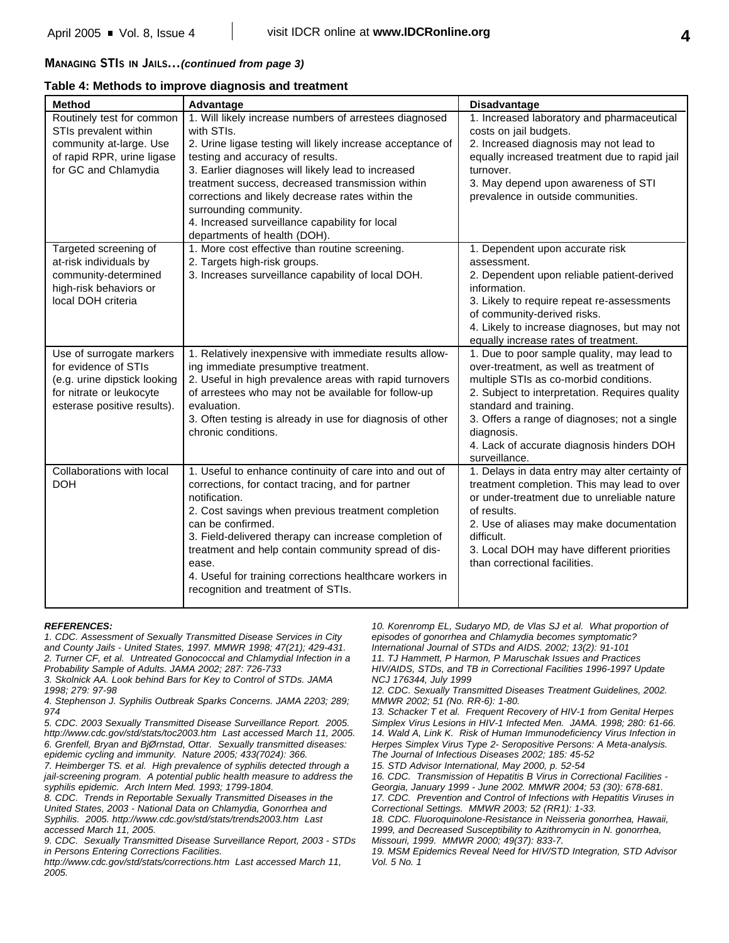## **MANAGING STIS IN JAILS...***(continued from page 3)*

## **Table 4: Methods to improve diagnosis and treatment**

| <b>Method</b>                | Advantage                                                                      | <b>Disadvantage</b>                                        |
|------------------------------|--------------------------------------------------------------------------------|------------------------------------------------------------|
| Routinely test for common    | 1. Will likely increase numbers of arrestees diagnosed                         | 1. Increased laboratory and pharmaceutical                 |
| STIs prevalent within        | with STIs.                                                                     | costs on jail budgets.                                     |
| community at-large. Use      | 2. Urine ligase testing will likely increase acceptance of                     | 2. Increased diagnosis may not lead to                     |
| of rapid RPR, urine ligase   | testing and accuracy of results.                                               | equally increased treatment due to rapid jail              |
| for GC and Chlamydia         | 3. Earlier diagnoses will likely lead to increased                             | turnover.                                                  |
|                              | treatment success, decreased transmission within                               | 3. May depend upon awareness of STI                        |
|                              | corrections and likely decrease rates within the                               | prevalence in outside communities.                         |
|                              | surrounding community.                                                         |                                                            |
|                              | 4. Increased surveillance capability for local                                 |                                                            |
| Targeted screening of        | departments of health (DOH).<br>1. More cost effective than routine screening. | 1. Dependent upon accurate risk                            |
| at-risk individuals by       | 2. Targets high-risk groups.                                                   | assessment.                                                |
| community-determined         | 3. Increases surveillance capability of local DOH.                             | 2. Dependent upon reliable patient-derived                 |
| high-risk behaviors or       |                                                                                | information.                                               |
| local DOH criteria           |                                                                                | 3. Likely to require repeat re-assessments                 |
|                              |                                                                                | of community-derived risks.                                |
|                              |                                                                                | 4. Likely to increase diagnoses, but may not               |
|                              |                                                                                | equally increase rates of treatment.                       |
| Use of surrogate markers     | 1. Relatively inexpensive with immediate results allow-                        | 1. Due to poor sample quality, may lead to                 |
| for evidence of STIs         | ing immediate presumptive treatment.                                           | over-treatment, as well as treatment of                    |
| (e.g. urine dipstick looking | 2. Useful in high prevalence areas with rapid turnovers                        | multiple STIs as co-morbid conditions.                     |
| for nitrate or leukocyte     | of arrestees who may not be available for follow-up                            | 2. Subject to interpretation. Requires quality             |
| esterase positive results).  | evaluation.                                                                    | standard and training.                                     |
|                              | 3. Often testing is already in use for diagnosis of other                      | 3. Offers a range of diagnoses; not a single               |
|                              | chronic conditions.                                                            | diagnosis.                                                 |
|                              |                                                                                | 4. Lack of accurate diagnosis hinders DOH<br>surveillance. |
| Collaborations with local    | 1. Useful to enhance continuity of care into and out of                        | 1. Delays in data entry may alter certainty of             |
| <b>DOH</b>                   | corrections, for contact tracing, and for partner                              | treatment completion. This may lead to over                |
|                              | notification.                                                                  | or under-treatment due to unreliable nature                |
|                              | 2. Cost savings when previous treatment completion                             | of results.                                                |
|                              | can be confirmed.                                                              | 2. Use of aliases may make documentation                   |
|                              | 3. Field-delivered therapy can increase completion of                          | difficult.                                                 |
|                              | treatment and help contain community spread of dis-                            | 3. Local DOH may have different priorities                 |
|                              | ease.                                                                          | than correctional facilities.                              |
|                              | 4. Useful for training corrections healthcare workers in                       |                                                            |
|                              | recognition and treatment of STIs.                                             |                                                            |
|                              |                                                                                |                                                            |

#### *REFERENCES:*

*1. CDC. Assessment of Sexually Transmitted Disease Services in City and County Jails - United States, 1997. MMWR 1998; 47(21); 429-431. 2. Turner CF, et al. Untreated Gonococcal and Chlamydial Infection in a Probability Sample of Adults. JAMA 2002; 287: 726-733*

*3. Skolnick AA. Look behind Bars for Key to Control of STDs. JAMA 1998; 279: 97-98*

*4. Stephenson J. Syphilis Outbreak Sparks Concerns. JAMA 2203; 289; 974*

*5. CDC. 2003 Sexually Transmitted Disease Surveillance Report. 2005. http://www.cdc.gov/std/stats/toc2003.htm Last accessed March 11, 2005. 6. Grenfell, Bryan and BjØrnstad, Ottar. Sexually transmitted diseases: epidemic cycling and immunity. Nature 2005; 433(7024): 366.*

*7. Heimberger TS. et al. High prevalence of syphilis detected through a jail-screening program. A potential public health measure to address the syphilis epidemic. Arch Intern Med. 1993; 1799-1804.*

*8. CDC. Trends in Reportable Sexually Transmitted Diseases in the United States, 2003 - National Data on Chlamydia, Gonorrhea and Syphilis. 2005. http://www.cdc.gov/std/stats/trends2003.htm Last accessed March 11, 2005.*

*9. CDC. Sexually Transmitted Disease Surveillance Report, 2003 - STDs in Persons Entering Corrections Facilities.*

*http://www.cdc.gov/std/stats/corrections.htm Last accessed March 11, 2005.*

*10. Korenromp EL, Sudaryo MD, de Vlas SJ et al. What proportion of episodes of gonorrhea and Chlamydia becomes symptomatic? International Journal of STDs and AIDS. 2002; 13(2): 91-101*

*11. TJ Hammett, P Harmon, P Maruschak Issues and Practices HIV/AIDS, STDs, and TB in Correctional Facilities 1996-1997 Update NCJ 176344, July 1999*

*12. CDC. Sexually Transmitted Diseases Treatment Guidelines, 2002. MMWR 2002; 51 (No. RR-6): 1-80.*

*13. Schacker T et al. Frequent Recovery of HIV-1 from Genital Herpes Simplex Virus Lesions in HIV-1 Infected Men. JAMA. 1998; 280: 61-66. 14. Wald A, Link K. Risk of Human Immunodeficiency Virus Infection in Herpes Simplex Virus Type 2- Seropositive Persons: A Meta-analysis. The Journal of Infectious Diseases 2002; 185: 45-52*

*15. STD Advisor International, May 2000, p. 52-54*

*16. CDC. Transmission of Hepatitis B Virus in Correctional Facilities - Georgia, January 1999 - June 2002. MMWR 2004; 53 (30): 678-681. 17. CDC. Prevention and Control of Infections with Hepatitis Viruses in Correctional Settings. MMWR 2003; 52 (RR1): 1-33.*

*18. CDC. Fluoroquinolone-Resistance in Neisseria gonorrhea, Hawaii, 1999, and Decreased Susceptibility to Azithromycin in N. gonorrhea, Missouri, 1999. MMWR 2000; 49(37): 833-7.*

*19. MSM Epidemics Reveal Need for HIV/STD Integration, STD Advisor Vol. 5 No. 1*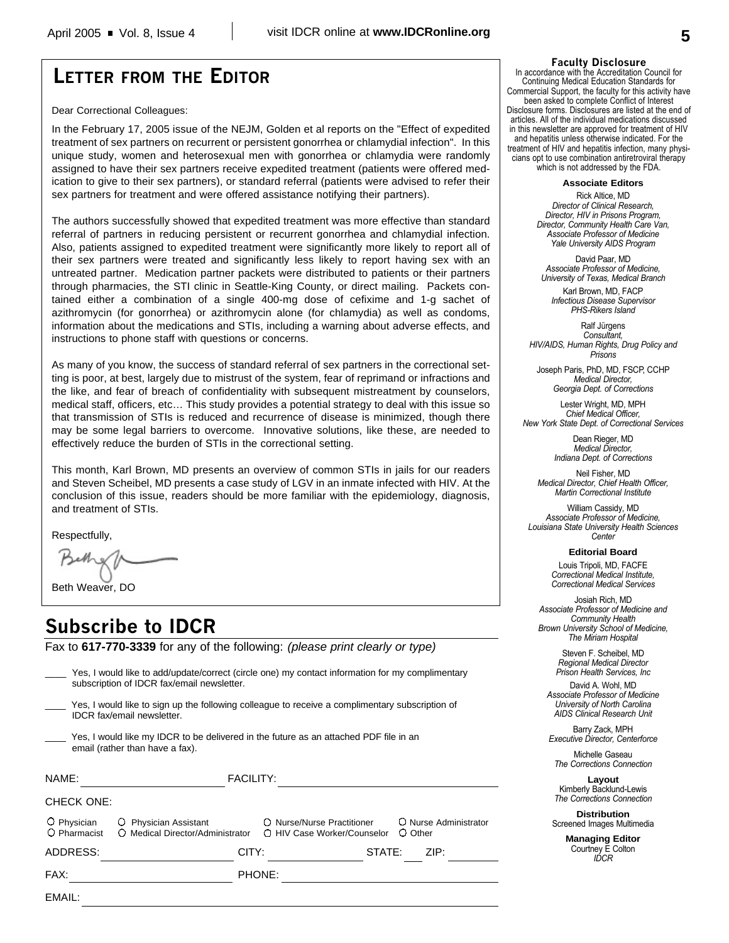# **LETTER FROM THE EDITOR**

Dear Correctional Colleagues:

In the February 17, 2005 issue of the NEJM, Golden et al reports on the "Effect of expedited treatment of sex partners on recurrent or persistent gonorrhea or chlamydial infection". In this unique study, women and heterosexual men with gonorrhea or chlamydia were randomly assigned to have their sex partners receive expedited treatment (patients were offered medication to give to their sex partners), or standard referral (patients were advised to refer their sex partners for treatment and were offered assistance notifying their partners).

The authors successfully showed that expedited treatment was more effective than standard referral of partners in reducing persistent or recurrent gonorrhea and chlamydial infection. Also, patients assigned to expedited treatment were significantly more likely to report all of their sex partners were treated and significantly less likely to report having sex with an untreated partner. Medication partner packets were distributed to patients or their partners through pharmacies, the STI clinic in Seattle-King County, or direct mailing. Packets contained either a combination of a single 400-mg dose of cefixime and 1-g sachet of azithromycin (for gonorrhea) or azithromycin alone (for chlamydia) as well as condoms, information about the medications and STIs, including a warning about adverse effects, and instructions to phone staff with questions or concerns.

As many of you know, the success of standard referral of sex partners in the correctional setting is poor, at best, largely due to mistrust of the system, fear of reprimand or infractions and the like, and fear of breach of confidentiality with subsequent mistreatment by counselors, medical staff, officers, etc… This study provides a potential strategy to deal with this issue so that transmission of STIs is reduced and recurrence of disease is minimized, though there may be some legal barriers to overcome. Innovative solutions, like these, are needed to effectively reduce the burden of STIs in the correctional setting.

This month, Karl Brown, MD presents an overview of common STIs in jails for our readers and Steven Scheibel, MD presents a case study of LGV in an inmate infected with HIV. At the conclusion of this issue, readers should be more familiar with the epidemiology, diagnosis, and treatment of STIs.

Respectfully,

Beth Weaver, DO

# **Subscribe to IDCR**

Fax to **617-770-3339** for any of the following: *(please print clearly or type)*

| EMAIL:                                                                                                                   |                                                                                                                                                |                                                           |                                  |  |  |  |
|--------------------------------------------------------------------------------------------------------------------------|------------------------------------------------------------------------------------------------------------------------------------------------|-----------------------------------------------------------|----------------------------------|--|--|--|
| FAX:                                                                                                                     |                                                                                                                                                | PHONE:                                                    |                                  |  |  |  |
| ADDRESS:                                                                                                                 | CITY:                                                                                                                                          | STATE:                                                    | ZIP:                             |  |  |  |
| O Physician<br>O Pharmacist                                                                                              | O Physician Assistant<br>O Medical Director/Administrator                                                                                      | ○ Nurse/Nurse Practitioner<br>∩ HIV Case Worker/Counselor | O Nurse Administrator<br>O Other |  |  |  |
| <b>CHECK ONE:</b>                                                                                                        |                                                                                                                                                |                                                           |                                  |  |  |  |
| NAME:                                                                                                                    | <b>FACILITY:</b>                                                                                                                               |                                                           |                                  |  |  |  |
| Yes, I would like my IDCR to be delivered in the future as an attached PDF file in an<br>email (rather than have a fax). |                                                                                                                                                |                                                           |                                  |  |  |  |
|                                                                                                                          | Yes, I would like to sign up the following colleague to receive a complimentary subscription of<br>IDCR fax/email newsletter.                  |                                                           |                                  |  |  |  |
|                                                                                                                          | Yes, I would like to add/update/correct (circle one) my contact information for my complimentary<br>subscription of IDCR fax/email newsletter. |                                                           |                                  |  |  |  |

#### **Faculty Disclosure**

In accordance with the Accreditation Council for Continuing Medical Education Standards for Commercial Support, the faculty for this activity have been asked to complete Conflict of Interest Disclosure forms. Disclosures are listed at the end of articles. All of the individual medications discussed in this newsletter are approved for treatment of HIV and hepatitis unless otherwise indicated. For the treatment of HIV and hepatitis infection, many physicians opt to use combination antiretroviral therapy which is not addressed by the FDA.

**Associate Editors**

Rick Altice, MD *Director of Clinical Research, Director, HIV in Prisons Program, Director, Community Health Care Van, Associate Professor of Medicine Yale University AIDS Program*

David Paar, MD *Associate Professor of Medicine, University of Texas, Medical Branch*

Karl Brown, MD, FACP *Infectious Disease Supervisor PHS-Rikers Island*

Ralf Jürgens *Consultant, HIV/AIDS, Human Rights, Drug Policy and Prisons*

Joseph Paris, PhD, MD, FSCP, CCHP *Medical Director, Georgia Dept. of Corrections*

Lester Wright, MD, MPH *Chief Medical Officer, New York State Dept. of Correctional Services*

> Dean Rieger, MD *Medical Director, Indiana Dept. of Corrections*

Neil Fisher, MD *Medical Director, Chief Health Officer, Martin Correctional Institute*

William Cassidy, MD *Associate Professor of Medicine, Louisiana State University Health Sciences Center*

**Editorial Board**

Louis Tripoli, MD, FACFE *Correctional Medical Institute, Correctional Medical Services*

Josiah Rich, MD *Associate Professor of Medicine and Community Health Brown University School of Medicine, The Miriam Hospital*

> Steven F. Scheibel, MD *Regional Medical Director Prison Health Services, Inc*

David A. Wohl, MD *Associate Professor of Medicine University of North Carolina AIDS Clinical Research Unit*

Barry Zack, MPH *Executive Director, Centerforce*

Michelle Gaseau *The Corrections Connection*

**Layout** Kimberly Backlund-Lewis *The Corrections Connection*

**Distribution** Screened Images Multimedia

> **Managing Editor** Courtney E Colton *IDCR*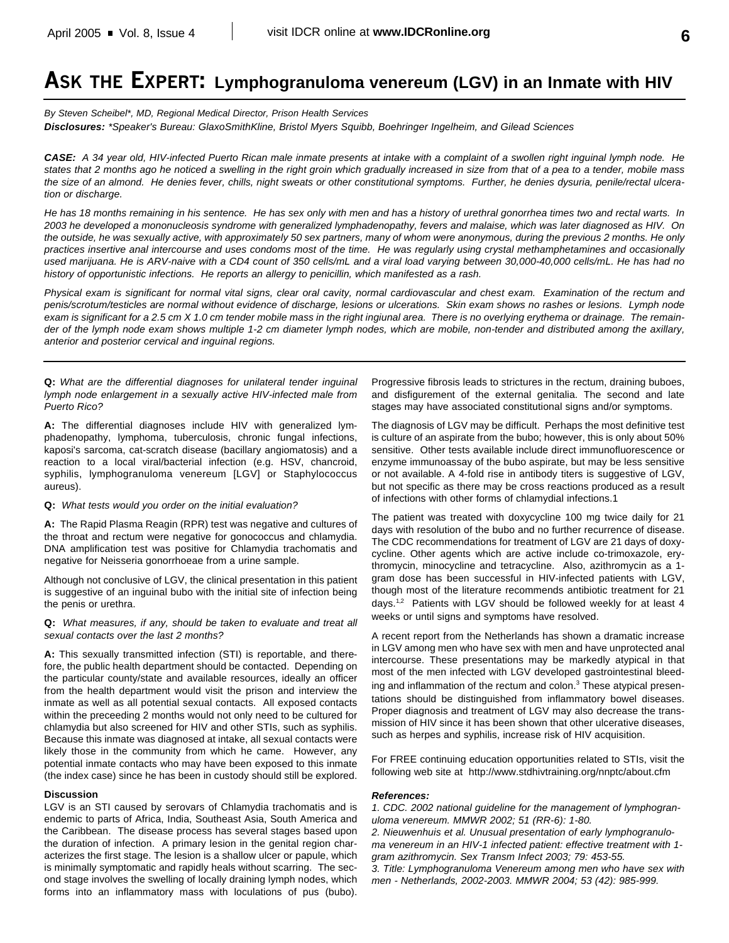# **ASK THE EXPERT: Lymphogranuloma venereum (LGV) in an Inmate with HIV**

*By Steven Scheibel\*, MD, Regional Medical Director, Prison Health Services Disclosures: \*Speaker's Bureau: GlaxoSmithKline, Bristol Myers Squibb, Boehringer Ingelheim, and Gilead Sciences*

*CASE: A 34 year old, HIV-infected Puerto Rican male inmate presents at intake with a complaint of a swollen right inguinal lymph node. He states that 2 months ago he noticed a swelling in the right groin which gradually increased in size from that of a pea to a tender, mobile mass the size of an almond. He denies fever, chills, night sweats or other constitutional symptoms. Further, he denies dysuria, penile/rectal ulceration or discharge.* 

*He has 18 months remaining in his sentence. He has sex only with men and has a history of urethral gonorrhea times two and rectal warts. In 2003 he developed a mononucleosis syndrome with generalized lymphadenopathy, fevers and malaise, which was later diagnosed as HIV. On the outside, he was sexually active, with approximately 50 sex partners, many of whom were anonymous, during the previous 2 months. He only practices insertive anal intercourse and uses condoms most of the time. He was regularly using crystal methamphetamines and occasionally used marijuana. He is ARV-naive with a CD4 count of 350 cells/mL and a viral load varying between 30,000-40,000 cells/mL. He has had no history of opportunistic infections. He reports an allergy to penicillin, which manifested as a rash.*

*Physical exam is significant for normal vital signs, clear oral cavity, normal cardiovascular and chest exam. Examination of the rectum and penis/scrotum/testicles are normal without evidence of discharge, lesions or ulcerations. Skin exam shows no rashes or lesions. Lymph node exam is significant for a 2.5 cm X 1.0 cm tender mobile mass in the right ingiunal area. There is no overlying erythema or drainage. The remainder of the lymph node exam shows multiple 1-2 cm diameter lymph nodes, which are mobile, non-tender and distributed among the axillary, anterior and posterior cervical and inguinal regions.*

**Q:** *What are the differential diagnoses for unilateral tender inguinal lymph node enlargement in a sexually active HIV-infected male from Puerto Rico?*

**A:** The differential diagnoses include HIV with generalized lymphadenopathy, lymphoma, tuberculosis, chronic fungal infections, kaposi's sarcoma, cat-scratch disease (bacillary angiomatosis) and a reaction to a local viral/bacterial infection (e.g. HSV, chancroid, syphilis, lymphogranuloma venereum [LGV] or Staphylococcus aureus).

#### **Q:** *What tests would you order on the initial evaluation?*

**A:** The Rapid Plasma Reagin (RPR) test was negative and cultures of the throat and rectum were negative for gonococcus and chlamydia. DNA amplification test was positive for Chlamydia trachomatis and negative for Neisseria gonorrhoeae from a urine sample.

Although not conclusive of LGV, the clinical presentation in this patient is suggestive of an inguinal bubo with the initial site of infection being the penis or urethra.

**Q:** *What measures, if any, should be taken to evaluate and treat all sexual contacts over the last 2 months?*

**A:** This sexually transmitted infection (STI) is reportable, and therefore, the public health department should be contacted. Depending on the particular county/state and available resources, ideally an officer from the health department would visit the prison and interview the inmate as well as all potential sexual contacts. All exposed contacts within the preceeding 2 months would not only need to be cultured for chlamydia but also screened for HIV and other STIs, such as syphilis. Because this inmate was diagnosed at intake, all sexual contacts were likely those in the community from which he came. However, any potential inmate contacts who may have been exposed to this inmate (the index case) since he has been in custody should still be explored.

#### **Discussion**

LGV is an STI caused by serovars of Chlamydia trachomatis and is endemic to parts of Africa, India, Southeast Asia, South America and the Caribbean. The disease process has several stages based upon the duration of infection. A primary lesion in the genital region characterizes the first stage. The lesion is a shallow ulcer or papule, which is minimally symptomatic and rapidly heals without scarring. The second stage involves the swelling of locally draining lymph nodes, which forms into an inflammatory mass with loculations of pus (bubo).

Progressive fibrosis leads to strictures in the rectum, draining buboes, and disfigurement of the external genitalia. The second and late stages may have associated constitutional signs and/or symptoms.

The diagnosis of LGV may be difficult. Perhaps the most definitive test is culture of an aspirate from the bubo; however, this is only about 50% sensitive. Other tests available include direct immunofluorescence or enzyme immunoassay of the bubo aspirate, but may be less sensitive or not available. A 4-fold rise in antibody titers is suggestive of LGV, but not specific as there may be cross reactions produced as a result of infections with other forms of chlamydial infections.1

The patient was treated with doxycycline 100 mg twice daily for 21 days with resolution of the bubo and no further recurrence of disease. The CDC recommendations for treatment of LGV are 21 days of doxycycline. Other agents which are active include co-trimoxazole, erythromycin, minocycline and tetracycline. Also, azithromycin as a 1 gram dose has been successful in HIV-infected patients with LGV, though most of the literature recommends antibiotic treatment for 21 days.<sup>1,2</sup> Patients with LGV should be followed weekly for at least 4 weeks or until signs and symptoms have resolved.

A recent report from the Netherlands has shown a dramatic increase in LGV among men who have sex with men and have unprotected anal intercourse. These presentations may be markedly atypical in that most of the men infected with LGV developed gastrointestinal bleeding and inflammation of the rectum and colon.<sup>3</sup> These atypical presentations should be distinguished from inflammatory bowel diseases. Proper diagnosis and treatment of LGV may also decrease the transmission of HIV since it has been shown that other ulcerative diseases, such as herpes and syphilis, increase risk of HIV acquisition.

For FREE continuing education opportunities related to STIs, visit the following web site at http://www.stdhivtraining.org/nnptc/about.cfm

#### *References:*

*1. CDC. 2002 national guideline for the management of lymphogranuloma venereum. MMWR 2002; 51 (RR-6): 1-80. 2. Nieuwenhuis et al. Unusual presentation of early lymphogranuloma venereum in an HIV-1 infected patient: effective treatment with 1 gram azithromycin. Sex Transm Infect 2003; 79: 453-55. 3. Title: Lymphogranuloma Venereum among men who have sex with*

*men - Netherlands, 2002-2003. MMWR 2004; 53 (42): 985-999.*

**6**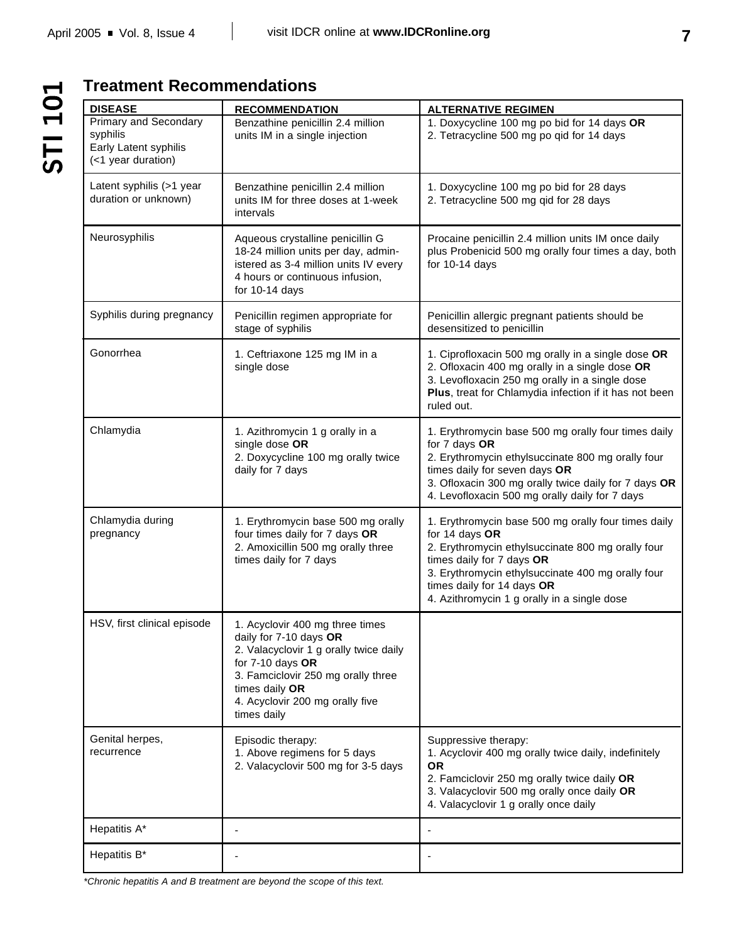# STI 101

# **Treatment Recommendations**

| <b>DISEASE</b>                                                                          | <b>RECOMMENDATION</b>                                                                                                                                                                                                               | <b>ALTERNATIVE REGIMEN</b>                                                                                                                                                                                                                                                                |
|-----------------------------------------------------------------------------------------|-------------------------------------------------------------------------------------------------------------------------------------------------------------------------------------------------------------------------------------|-------------------------------------------------------------------------------------------------------------------------------------------------------------------------------------------------------------------------------------------------------------------------------------------|
| <b>Primary and Secondary</b><br>syphilis<br>Early Latent syphilis<br>(<1 year duration) | Benzathine penicillin 2.4 million<br>units IM in a single injection                                                                                                                                                                 | 1. Doxycycline 100 mg po bid for 14 days OR<br>2. Tetracycline 500 mg po qid for 14 days                                                                                                                                                                                                  |
| Latent syphilis (>1 year<br>duration or unknown)                                        | Benzathine penicillin 2.4 million<br>units IM for three doses at 1-week<br>intervals                                                                                                                                                | 1. Doxycycline 100 mg po bid for 28 days<br>2. Tetracycline 500 mg qid for 28 days                                                                                                                                                                                                        |
| Neurosyphilis                                                                           | Aqueous crystalline penicillin G<br>18-24 million units per day, admin-<br>istered as 3-4 million units IV every<br>4 hours or continuous infusion,<br>for 10-14 days                                                               | Procaine penicillin 2.4 million units IM once daily<br>plus Probenicid 500 mg orally four times a day, both<br>for $10-14$ days                                                                                                                                                           |
| Syphilis during pregnancy                                                               | Penicillin regimen appropriate for<br>stage of syphilis                                                                                                                                                                             | Penicillin allergic pregnant patients should be<br>desensitized to penicillin                                                                                                                                                                                                             |
| Gonorrhea                                                                               | 1. Ceftriaxone 125 mg IM in a<br>single dose                                                                                                                                                                                        | 1. Ciprofloxacin 500 mg orally in a single dose OR<br>2. Ofloxacin 400 mg orally in a single dose OR<br>3. Levofloxacin 250 mg orally in a single dose<br>Plus, treat for Chlamydia infection if it has not been<br>ruled out.                                                            |
| Chlamydia                                                                               | 1. Azithromycin 1 g orally in a<br>single dose OR<br>2. Doxycycline 100 mg orally twice<br>daily for 7 days                                                                                                                         | 1. Erythromycin base 500 mg orally four times daily<br>for 7 days OR<br>2. Erythromycin ethylsuccinate 800 mg orally four<br>times daily for seven days OR<br>3. Ofloxacin 300 mg orally twice daily for 7 days OR<br>4. Levofloxacin 500 mg orally daily for 7 days                      |
| Chlamydia during<br>pregnancy                                                           | 1. Erythromycin base 500 mg orally<br>four times daily for 7 days OR<br>2. Amoxicillin 500 mg orally three<br>times daily for 7 days                                                                                                | 1. Erythromycin base 500 mg orally four times daily<br>for 14 days OR<br>2. Erythromycin ethylsuccinate 800 mg orally four<br>times daily for 7 days OR<br>3. Erythromycin ethylsuccinate 400 mg orally four<br>times daily for 14 days OR<br>4. Azithromycin 1 g orally in a single dose |
| HSV, first clinical episode                                                             | 1. Acyclovir 400 mg three times<br>daily for 7-10 days OR<br>2. Valacyclovir 1 g orally twice daily<br>for $7-10$ days OR<br>3. Famciclovir 250 mg orally three<br>times daily OR<br>4. Acyclovir 200 mg orally five<br>times daily |                                                                                                                                                                                                                                                                                           |
| Genital herpes,<br>recurrence                                                           | Episodic therapy:<br>1. Above regimens for 5 days<br>2. Valacyclovir 500 mg for 3-5 days                                                                                                                                            | Suppressive therapy:<br>1. Acyclovir 400 mg orally twice daily, indefinitely<br><b>OR</b><br>2. Famciclovir 250 mg orally twice daily OR<br>3. Valacyclovir 500 mg orally once daily OR<br>4. Valacyclovir 1 g orally once daily                                                          |
| Hepatitis A*                                                                            | $\blacksquare$                                                                                                                                                                                                                      |                                                                                                                                                                                                                                                                                           |
| Hepatitis B*                                                                            |                                                                                                                                                                                                                                     |                                                                                                                                                                                                                                                                                           |

*\*Chronic hepatitis A and B treatment are beyond the scope of this text.*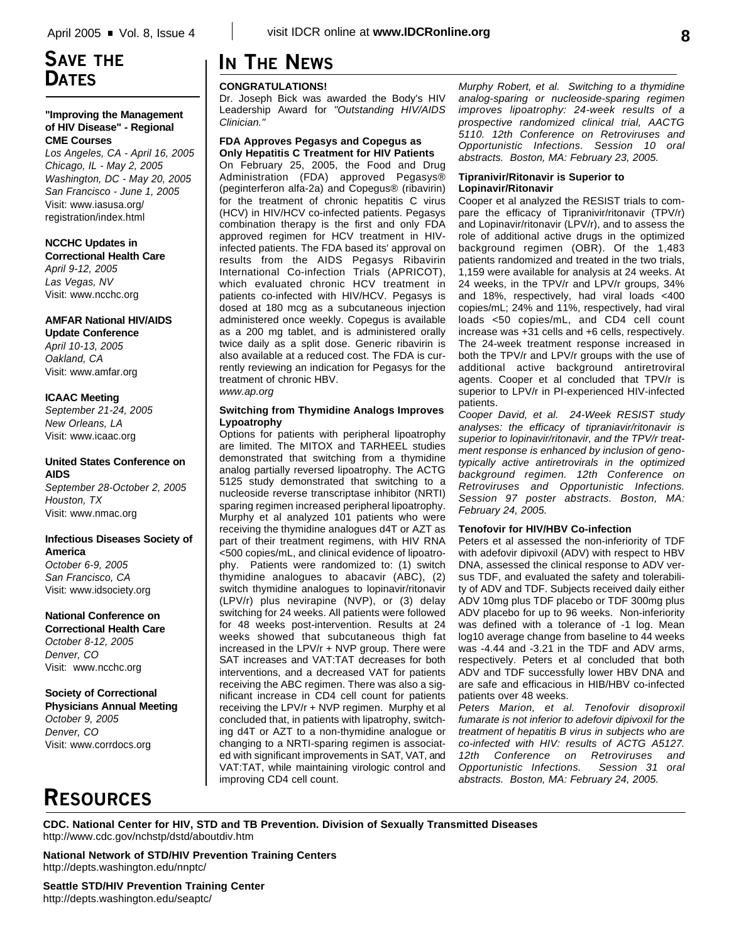# **SAVE THE DATES**

## **"Improving the Management of HIV Disease" - Regional CME Courses**

*Los Angeles, CA - April 16, 2005 Chicago, IL - May 2, 2005 Washington, DC - May 20, 2005 San Francisco - June 1, 2005* Visit: www.iasusa.org/ registration/index.html

## **NCCHC Updates in**

**Correctional Health Care** *April 9-12, 2005 Las Vegas, NV* Visit: www.ncchc.org

## **AMFAR National HIV/AIDS**

**Update Conference** *April 10-13, 2005 Oakland, CA* Visit: www.amfar.org

## **ICAAC Meeting**

*September 21-24, 2005 New Orleans, LA* Visit: www.icaac.org

## **United States Conference on AIDS**

*September 28-October 2, 2005 Houston, TX* Visit: www.nmac.org

## **Infectious Diseases Society of America**

*October 6-9, 2005 San Francisco, CA* Visit: www.idsociety.org

# **National Conference on**

**Correctional Health Care** *October 8-12, 2005 Denver, CO* Visit: www.ncchc.org

## **Society of Correctional Physicians Annual Meeting**

*October 9, 2005 Denver, CO* Visit: www.corrdocs.org

# **IN THE NEWS**

## **CONGRATULATIONS!**

Dr. Joseph Bick was awarded the Body's HIV Leadership Award for *"Outstanding HIV/AIDS Clinician."* 

## **FDA Approves Pegasys and Copegus as Only Hepatitis C Treatment for HIV Patients**

On February 25, 2005, the Food and Drug Administration (FDA) approved Pegasys® (peginterferon alfa-2a) and Copegus® (ribavirin) for the treatment of chronic hepatitis C virus (HCV) in HIV/HCV co-infected patients. Pegasys combination therapy is the first and only FDA approved regimen for HCV treatment in HIVinfected patients. The FDA based its' approval on results from the AIDS Pegasys Ribavirin International Co-infection Trials (APRICOT), which evaluated chronic HCV treatment in patients co-infected with HIV/HCV. Pegasys is dosed at 180 mcg as a subcutaneous injection administered once weekly. Copegus is available as a 200 mg tablet, and is administered orally twice daily as a split dose. Generic ribavirin is also available at a reduced cost. The FDA is currently reviewing an indication for Pegasys for the treatment of chronic HBV. *www.ap.org*

## **Switching from Thymidine Analogs Improves Lypoatrophy**

Options for patients with peripheral lipoatrophy are limited. The MITOX and TARHEEL studies demonstrated that switching from a thymidine analog partially reversed lipoatrophy. The ACTG 5125 study demonstrated that switching to a nucleoside reverse transcriptase inhibitor (NRTI) sparing regimen increased peripheral lipoatrophy. Murphy et al analyzed 101 patients who were receiving the thymidine analogues d4T or AZT as part of their treatment regimens, with HIV RNA <500 copies/mL, and clinical evidence of lipoatrophy. Patients were randomized to: (1) switch thymidine analogues to abacavir (ABC), (2) switch thymidine analogues to lopinavir/ritonavir (LPV/r) plus nevirapine (NVP), or (3) delay switching for 24 weeks. All patients were followed for 48 weeks post-intervention. Results at 24 weeks showed that subcutaneous thigh fat increased in the LPV/r + NVP group. There were SAT increases and VAT:TAT decreases for both interventions, and a decreased VAT for patients receiving the ABC regimen. There was also a significant increase in CD4 cell count for patients receiving the LPV/r + NVP regimen. Murphy et al concluded that, in patients with lipatrophy, switching d4T or AZT to a non-thymidine analogue or changing to a NRTI-sparing regimen is associated with significant improvements in SAT, VAT, and VAT:TAT, while maintaining virologic control and improving CD4 cell count.

*Murphy Robert, et al. Switching to a thymidine analog-sparing or nucleoside-sparing regimen improves lipoatrophy: 24-week results of a prospective randomized clinical trial, AACTG 5110. 12th Conference on Retroviruses and Opportunistic Infections. Session 10 oral abstracts. Boston, MA: February 23, 2005.*

## **Tipranivir/Ritonavir is Superior to Lopinavir/Ritonavir**

Cooper et al analyzed the RESIST trials to compare the efficacy of Tipranivir/ritonavir (TPV/r) and Lopinavir/ritonavir (LPV/r), and to assess the role of additional active drugs in the optimized background regimen (OBR). Of the 1,483 patients randomized and treated in the two trials, 1,159 were available for analysis at 24 weeks. At 24 weeks, in the TPV/r and LPV/r groups, 34% and 18%, respectively, had viral loads <400 copies/mL; 24% and 11%, respectively, had viral loads <50 copies/mL, and CD4 cell count increase was +31 cells and +6 cells, respectively. The 24-week treatment response increased in both the TPV/r and LPV/r groups with the use of additional active background antiretroviral agents. Cooper et al concluded that TPV/r is superior to LPV/r in PI-experienced HIV-infected patients.

*Cooper David, et al. 24-Week RESIST study analyses: the efficacy of tipraniavir/ritonavir is superior to lopinavir/ritonavir, and the TPV/r treatment response is enhanced by inclusion of genotypically active antiretrovirals in the optimized background regimen. 12th Conference on Retroviruses and Opportunistic Infections. Session 97 poster abstracts. Boston, MA: February 24, 2005.*

## **Tenofovir for HIV/HBV Co-infection**

Peters et al assessed the non-inferiority of TDF with adefovir dipivoxil (ADV) with respect to HBV DNA, assessed the clinical response to ADV versus TDF, and evaluated the safety and tolerability of ADV and TDF. Subjects received daily either ADV 10mg plus TDF placebo or TDF 300mg plus ADV placebo for up to 96 weeks. Non-inferiority was defined with a tolerance of -1 log. Mean log10 average change from baseline to 44 weeks was -4.44 and -3.21 in the TDF and ADV arms, respectively. Peters et al concluded that both ADV and TDF successfully lower HBV DNA and are safe and efficacious in HIB/HBV co-infected patients over 48 weeks.

*Peters Marion, et al. Tenofovir disoproxil fumarate is not inferior to adefovir dipivoxil for the treatment of hepatitis B virus in subjects who are co-infected with HIV: results of ACTG A5127. 12th Conference on Retroviruses and Opportunistic Infections. abstracts. Boston, MA: February 24, 2005.*

**RESOURCES**

**CDC. National Center for HIV, STD and TB Prevention. Division of Sexually Transmitted Diseases** http://www.cdc.gov/nchstp/dstd/aboutdiv.htm

**National Network of STD/HIV Prevention Training Centers** http://depts.washington.edu/nnptc/

**Seattle STD/HIV Prevention Training Center** http://depts.washington.edu/seaptc/